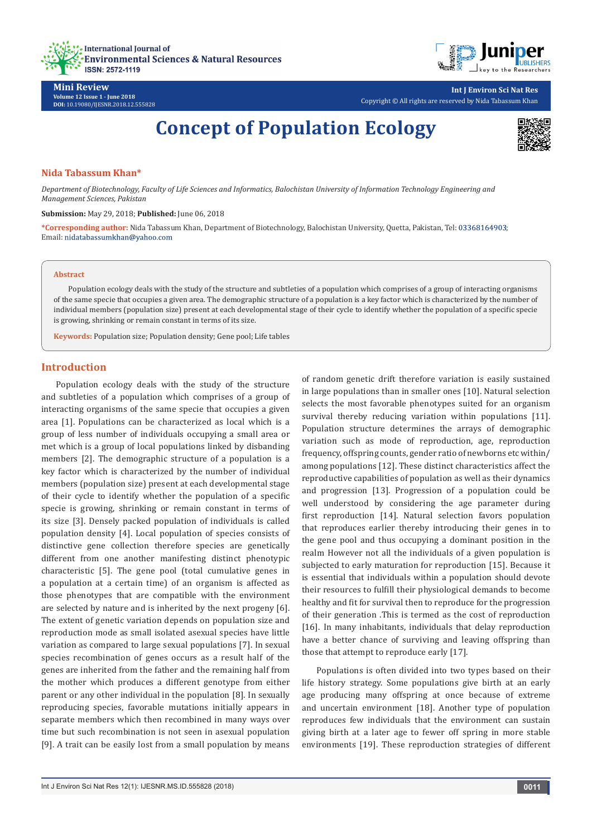



**Mini Review Volume 12 Issue 1 - June 2018 DOI:** [10.19080/IJESNR.2018.12.555828](http://dx.doi.org/10.19080/IJESNR.2018.12.555828)

**Int J Environ Sci Nat Res** Copyright © All rights are reserved by Nida Tabassum Khan

# **Concept of Population Ecology**



#### **Nida Tabassum Khan\***

*Department of Biotechnology, Faculty of Life Sciences and Informatics, Balochistan University of Information Technology Engineering and Management Sciences, Pakistan*

#### **Submission:** May 29, 2018; **Published:** June 06, 2018

**\*Corresponding author:** Nida Tabassum Khan, Department of Biotechnology, Balochistan University, Quetta, Pakistan, Tel: ; Email: nidatabassumkhan@yahoo.com

#### **Abstract**

Population ecology deals with the study of the structure and subtleties of a population which comprises of a group of interacting organisms of the same specie that occupies a given area. The demographic structure of a population is a key factor which is characterized by the number of individual members (population size) present at each developmental stage of their cycle to identify whether the population of a specific specie is growing, shrinking or remain constant in terms of its size.

**Keywords:** Population size; Population density; Gene pool; Life tables

### **Introduction**

Population ecology deals with the study of the structure and subtleties of a population which comprises of a group of interacting organisms of the same specie that occupies a given area [1]. Populations can be characterized as local which is a group of less number of individuals occupying a small area or met which is a group of local populations linked by disbanding members [2]. The demographic structure of a population is a key factor which is characterized by the number of individual members (population size) present at each developmental stage of their cycle to identify whether the population of a specific specie is growing, shrinking or remain constant in terms of its size [3]. Densely packed population of individuals is called population density [4]. Local population of species consists of distinctive gene collection therefore species are genetically different from one another manifesting distinct phenotypic characteristic [5]. The gene pool (total cumulative genes in a population at a certain time) of an organism is affected as those phenotypes that are compatible with the environment are selected by nature and is inherited by the next progeny [6]. The extent of genetic variation depends on population size and reproduction mode as small isolated asexual species have little variation as compared to large sexual populations [7]. In sexual species recombination of genes occurs as a result half of the genes are inherited from the father and the remaining half from the mother which produces a different genotype from either parent or any other individual in the population [8]. In sexually reproducing species, favorable mutations initially appears in separate members which then recombined in many ways over time but such recombination is not seen in asexual population [9]. A trait can be easily lost from a small population by means

of random genetic drift therefore variation is easily sustained in large populations than in smaller ones [10]. Natural selection selects the most favorable phenotypes suited for an organism survival thereby reducing variation within populations [11]. Population structure determines the arrays of demographic variation such as mode of reproduction, age, reproduction frequency, offspring counts, gender ratio of newborns etc within/ among populations [12]. These distinct characteristics affect the reproductive capabilities of population as well as their dynamics and progression [13]. Progression of a population could be well understood by considering the age parameter during first reproduction [14]. Natural selection favors population that reproduces earlier thereby introducing their genes in to the gene pool and thus occupying a dominant position in the realm However not all the individuals of a given population is subjected to early maturation for reproduction [15]. Because it is essential that individuals within a population should devote their resources to fulfill their physiological demands to become healthy and fit for survival then to reproduce for the progression of their generation .This is termed as the cost of reproduction [16]. In many inhabitants, individuals that delay reproduction have a better chance of surviving and leaving offspring than those that attempt to reproduce early [17].

Populations is often divided into two types based on their life history strategy. Some populations give birth at an early age producing many offspring at once because of extreme and uncertain environment [18]. Another type of population reproduces few individuals that the environment can sustain giving birth at a later age to fewer off spring in more stable environments [19]. These reproduction strategies of different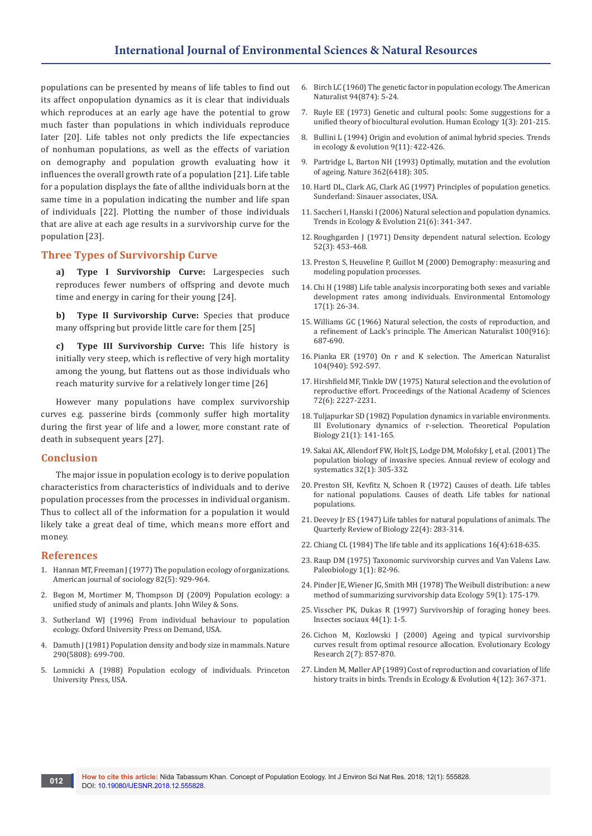populations can be presented by means of life tables to find out its affect onpopulation dynamics as it is clear that individuals which reproduces at an early age have the potential to grow much faster than populations in which individuals reproduce later [20]. Life tables not only predicts the life expectancies of nonhuman populations, as well as the effects of variation on demography and population growth evaluating how it influences the overall growth rate of a population [21]. Life table for a population displays the fate of allthe individuals born at the same time in a population indicating the number and life span of individuals [22]. Plotting the number of those individuals that are alive at each age results in a survivorship curve for the population [23].

## **Three Types of Survivorship Curve**

**a) Type I Survivorship Curve:** Largespecies such reproduces fewer numbers of offspring and devote much time and energy in caring for their young [24].

**b) Type II Survivorship Curve:** Species that produce many offspring but provide little care for them [25]

**c) Type III Survivorship Curve:** This life history is initially very steep, which is reflective of very high mortality among the young, but flattens out as those individuals who reach maturity survive for a relatively longer time [26]

However many populations have complex survivorship curves e.g. passerine birds (commonly suffer high mortality during the first year of life and a lower, more constant rate of death in subsequent years [27].

#### **Conclusion**

The major issue in population ecology is to derive population characteristics from characteristics of individuals and to derive population processes from the processes in individual organism. Thus to collect all of the information for a population it would likely take a great deal of time, which means more effort and money.

#### **References**

- 1. [Hannan MT, Freeman J \(1977\) The population ecology of organizations.](https://papers.ssrn.com/sol3/papers.cfm?abstract_id=1505878)  [American journal of sociology 82\(5\): 929-964.](https://papers.ssrn.com/sol3/papers.cfm?abstract_id=1505878)
- 2. [Begon M, Mortimer M, Thompson DJ \(2009\) Population ecology: a](https://www.wiley.com/en-us/Population+Ecology%3A+A+Unified+Study+of+Animals+and+Plants%2C+3rd+Edition-p-9781444313758)  [unified study of animals and plants. John Wiley & Sons.](https://www.wiley.com/en-us/Population+Ecology%3A+A+Unified+Study+of+Animals+and+Plants%2C+3rd+Edition-p-9781444313758)
- 3. Sutherland WJ (1996) From individual behaviour to population ecology. Oxford University Press on Demand, USA.
- 4. [Damuth J \(1981\) Population density and body size in mammals. Nature](https://www.nature.com/articles/290699a0)  [290\(5808\): 699-700.](https://www.nature.com/articles/290699a0)
- 5. [Lomnicki A \(1988\) Population ecology of individuals. Princeton](https://press.princeton.edu/titles/4152.html)  [University Press, USA.](https://press.princeton.edu/titles/4152.html)
- 6. [Birch LC \(1960\) The genetic factor in population ecology. The American](https://www.journals.uchicago.edu/doi/abs/10.1086/282105?journalCode=an)  [Naturalist 94\(874\): 5-24.](https://www.journals.uchicago.edu/doi/abs/10.1086/282105?journalCode=an)
- 7. [Ruyle EE \(1973\) Genetic and cultural pools: Some suggestions for a](https://link.springer.com/article/10.1007/BF01531181)  [unified theory of biocultural evolution. Human Ecology 1\(3\): 201-215.](https://link.springer.com/article/10.1007/BF01531181)
- 8. [Bullini L \(1994\) Origin and evolution of animal hybrid species. Trends](https://www.cell.com/trends/ecology-evolution/abstract/0169-5347(94)90124-4)  [in ecology & evolution 9\(11\): 422-426.](https://www.cell.com/trends/ecology-evolution/abstract/0169-5347(94)90124-4)
- 9. [Partridge L, Barton NH \(1993\) Optimally, mutation and the evolution](https://www.nature.com/articles/362305a0)  [of ageing. Nature 362\(6418\): 305.](https://www.nature.com/articles/362305a0)
- 10. [Hartl DL, Clark AG, Clark AG \(1997\) Principles of population genetics.](https://www.sinauer.com/media/wysiwyg/tocs/PrinciplesPopulationGenetics.pdf)  [Sunderland: Sinauer associates, USA.](https://www.sinauer.com/media/wysiwyg/tocs/PrinciplesPopulationGenetics.pdf)
- 11. [Saccheri I, Hanski I \(2006\) Natural selection and population dynamics.](https://www.cell.com/trends/ecology-evolution/fulltext/S0169-5347(06)00105-4)  [Trends in Ecology & Evolution 21\(6\): 341-347.](https://www.cell.com/trends/ecology-evolution/fulltext/S0169-5347(06)00105-4)
- 12. Roughgarden J (1971) Density dependent natural selection. Ecology 52(3): 453-468.
- 13. [Preston S, Heuveline P, Guillot M \(2000\) Demography: measuring and](https://www.wiley.com/en-us/Demography%3A+Measuring+and+Modeling+Population+Processes-p-9781557864512)  [modeling population processes.](https://www.wiley.com/en-us/Demography%3A+Measuring+and+Modeling+Population+Processes-p-9781557864512)
- 14. [Chi H \(1988\) Life table analysis incorporating both sexes and variable](https://academic.oup.com/ee/article-abstract/17/1/26/338126?redirectedFrom=PDF)  [development rates among individuals. Environmental Entomology](https://academic.oup.com/ee/article-abstract/17/1/26/338126?redirectedFrom=PDF)  [17\(1\): 26-34.](https://academic.oup.com/ee/article-abstract/17/1/26/338126?redirectedFrom=PDF)
- 15. [Williams GC \(1966\) Natural selection, the costs of reproduction, and](https://www.journals.uchicago.edu/doi/10.1086/282461)  [a refinement of Lack's principle. The American Naturalist 100\(916\):](https://www.journals.uchicago.edu/doi/10.1086/282461)  [687-690.](https://www.journals.uchicago.edu/doi/10.1086/282461)
- 16. [Pianka ER \(1970\) On r and K selection. The American Naturalist](https://www.jstor.org/stable/2459020)  [104\(940\): 592-597.](https://www.jstor.org/stable/2459020)
- 17. [Hirshfield MF, Tinkle DW \(1975\) Natural selection and the evolution of](http://www.pnas.org/content/72/6/2227)  [reproductive effort. Proceedings of the National Academy of Sciences](http://www.pnas.org/content/72/6/2227)  [72\(6\): 2227-2231.](http://www.pnas.org/content/72/6/2227)
- 18. [Tuljapurkar SD \(1982\) Population dynamics in variable environments.](https://www.sciencedirect.com/science/article/pii/0040580982900107)  [III Evolutionary dynamics of r-selection. Theoretical Population](https://www.sciencedirect.com/science/article/pii/0040580982900107)  [Biology 21\(1\): 141-165.](https://www.sciencedirect.com/science/article/pii/0040580982900107)
- 19. [Sakai AK, Allendorf FW, Holt JS, Lodge DM, Molofsky J, et al. \(2001\) The](https://www.annualreviews.org/doi/10.1146/annurev.ecolsys.32.081501.114037)  [population biology of invasive species. Annual review of ecology and](https://www.annualreviews.org/doi/10.1146/annurev.ecolsys.32.081501.114037)  [systematics 32\(1\): 305-332.](https://www.annualreviews.org/doi/10.1146/annurev.ecolsys.32.081501.114037)
- 20. [Preston SH, Kevfitz N, Schoen R \(1972\) Causes of death. Life tables](https://books.google.co.in/books/about/Causes_of_death_life_tables_for_national.html?id=4nRqAAAAMAAJ&redir_esc=y)  [for national populations. Causes of death. Life tables for national](https://books.google.co.in/books/about/Causes_of_death_life_tables_for_national.html?id=4nRqAAAAMAAJ&redir_esc=y)  [populations.](https://books.google.co.in/books/about/Causes_of_death_life_tables_for_national.html?id=4nRqAAAAMAAJ&redir_esc=y)
- 21. [Deevey Jr ES \(1947\) Life tables for natural populations of animals. The](https://www.journals.uchicago.edu/doi/10.1086/395888)  [Quarterly Review of Biology 22\(4\): 283-314.](https://www.journals.uchicago.edu/doi/10.1086/395888)
- 22. Chiang CL (1984) The life table and its applications 16(4):618-635.
- 23. [Raup DM \(1975\) Taxonomic survivorship curves and Van Valens Law.](https://www.cambridge.org/core/journals/paleobiology/article/div-classtitletaxonomic-survivorship-curves-and-van-valenandaposs-lawdiv/EBE4AF505AC18DC5333FC30D4247BFD2)  [Paleobiology 1\(1\): 82-96.](https://www.cambridge.org/core/journals/paleobiology/article/div-classtitletaxonomic-survivorship-curves-and-van-valenandaposs-lawdiv/EBE4AF505AC18DC5333FC30D4247BFD2)
- 24. [Pinder JE, Wiener JG, Smith MH \(1978\) The Weibull distribution: a new](http://archive-srel.uga.edu/Reprint/0564.htm)  [method of summarizing survivorship data Ecology 59\(1\): 175-179.](http://archive-srel.uga.edu/Reprint/0564.htm)
- 25. [Visscher PK, Dukas R \(1997\) Survivorship of foraging honey bees.](https://link.springer.com/article/10.1007/s000400050017)  [Insectes sociaux 44\(1\): 1-5.](https://link.springer.com/article/10.1007/s000400050017)
- 26. [Cichon M, Kozlowski J \(2000\) Ageing and typical survivorship](http://evolutionary-ecology.com/abstracts/v02n07/eear1205.pdf)  [curves result from optimal resource allocation. Evolutionary Ecology](http://evolutionary-ecology.com/abstracts/v02n07/eear1205.pdf)  [Research 2\(7\): 857-870.](http://evolutionary-ecology.com/abstracts/v02n07/eear1205.pdf)
- 27. [Linden M, Møller AP \(1989\) Cost of reproduction and covariation of life](https://www.cell.com/trends/ecology-evolution/abstract/0169-5347(89)90101-8?code=cell-site)  [history traits in birds. Trends in Ecology & Evolution 4\(12\): 367-371.](https://www.cell.com/trends/ecology-evolution/abstract/0169-5347(89)90101-8?code=cell-site)